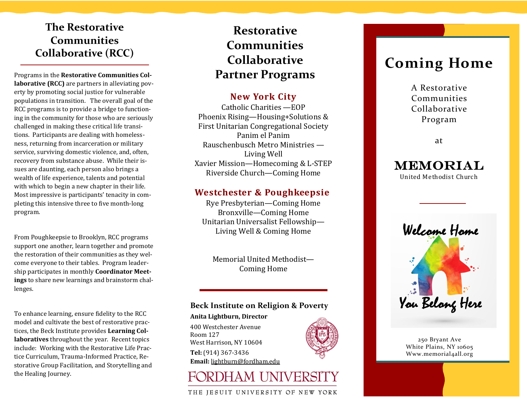## **The Restorative Communities Collaborative (RCC)**

Programs in the **Restorative Communities Collaborative (RCC)** are partners in alleviating poverty by promoting social justice for vulnerable populations in transition. The overall goal of the RCC programs is to provide a bridge to functioning in the community for those who are seriously challenged in making these critical life transitions. Participants are dealing with homelessness, returning from incarceration or military service, surviving domestic violence, and, often, recovery from substance abuse. While their issues are daunting, each person also brings a wealth of life experience, talents and potential with which to begin a new chapter in their life. Most impressive is participants' tenacity in completing this intensive three to five month-long program.

From Poughkeepsie to Brooklyn, RCC programs support one another, learn together and promote the restoration of their communities as they welcome everyone to their tables. Program leadership participates in monthly **Coordinator Meetings** to share new learnings and brainstorm challenges.

To enhance learning, ensure fidelity to the RCC model and cultivate the best of restorative practices, the Beck Institute provides **Learning Collaboratives** throughout the year. Recent topics include: Working with the Restorative Life Practice Curriculum, Trauma-Informed Practice, Restorative Group Facilitation, and Storytelling and the Healing Journey.

## **Restorative Communities Collaborative Partner Programs**

## **New York City**

Catholic Charities —EOP Phoenix Rising—Housing+Solutions & First Unitarian Congregational Society Panim el Panim Rauschenbusch Metro Ministries — Living Well Xavier Mission—Homecoming & L-STEP Riverside Church—Coming Home

### **Westchester & Poughkeepsie**

Rye Presbyterian—Coming Home Bronxville—Coming Home Unitarian Universalist Fellowship— Living Well & Coming Home

Memorial United Methodist— Coming Home

### **Beck Institute on Religion & Poverty**

**Anita Lightburn, Director** 400 Westchester Avenue Room 127 West Harrison, NY 10604 **Tel:** [\(914\) 367](tel:914-367-3436)-3436 **Email:** [lightburn@fordham.edu](mailto:lightburn@fordham.edu)



## FORDHAM UNIVERS

### THE JESUIT UNIVERSITY OF NEW YORK

# **Coming Home**

A Restorative Communities Collaborative Program

at



United Methodist Church



250 Bryant Ave White Plains, NY 10605 Www.memorial4all.org